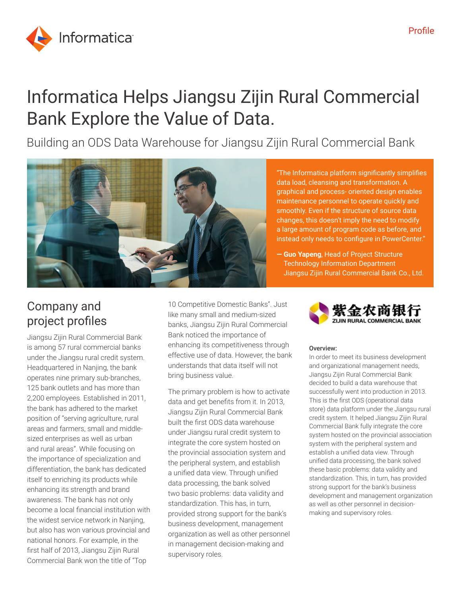

# Informatica Helps Jiangsu Zijin Rural Commercial Bank Explore the Value of Data.

Building an ODS Data Warehouse for Jiangsu Zijin Rural Commercial Bank



"The Informatica platform significantly simplifies data load, cleansing and transformation. A graphical and process- oriented design enables maintenance personnel to operate quickly and smoothly. Even if the structure of source data changes, this doesn't imply the need to modify a large amount of program code as before, and instead only needs to configure in PowerCenter."

**— Guo Yapeng**, Head of Project Structure Technology Information Department Jiangsu Zijin Rural Commercial Bank Co., Ltd.

## Company and project profiles

Jiangsu Zijin Rural Commercial Bank is among 57 rural commercial banks under the Jiangsu rural credit system. Headquartered in Nanjing, the bank operates nine primary sub-branches, 125 bank outlets and has more than 2,200 employees. Established in 2011, the bank has adhered to the market position of "serving agriculture, rural areas and farmers, small and middlesized enterprises as well as urban and rural areas". While focusing on the importance of specialization and differentiation, the bank has dedicated itself to enriching its products while enhancing its strength and brand awareness. The bank has not only become a local financial institution with the widest service network in Nanjing, but also has won various provincial and national honors. For example, in the first half of 2013, Jiangsu Zijin Rural Commercial Bank won the title of "Top

10 Competitive Domestic Banks". Just like many small and medium-sized banks, Jiangsu Zijin Rural Commercial Bank noticed the importance of enhancing its competitiveness through effective use of data. However, the bank understands that data itself will not bring business value.

The primary problem is how to activate data and get benefits from it. In 2013, Jiangsu Zijin Rural Commercial Bank built the first ODS data warehouse under Jiangsu rural credit system to integrate the core system hosted on the provincial association system and the peripheral system, and establish a unified data view. Through unified data processing, the bank solved two basic problems: data validity and standardization. This has, in turn, provided strong support for the bank's business development, management organization as well as other personnel in management decision-making and supervisory roles.



#### Overview:

In order to meet its business development and organizational management needs, Jiangsu Zijin Rural Commercial Bank decided to build a data warehouse that successfully went into production in 2013. This is the first ODS (operational data store) data platform under the Jiangsu rural credit system. It helped Jiangsu Zijin Rural Commercial Bank fully integrate the core system hosted on the provincial association system with the peripheral system and establish a unified data view. Through unified data processing, the bank solved these basic problems: data validity and standardization. This, in turn, has provided strong support for the bank's business development and management organization as well as other personnel in decisionmaking and supervisory roles.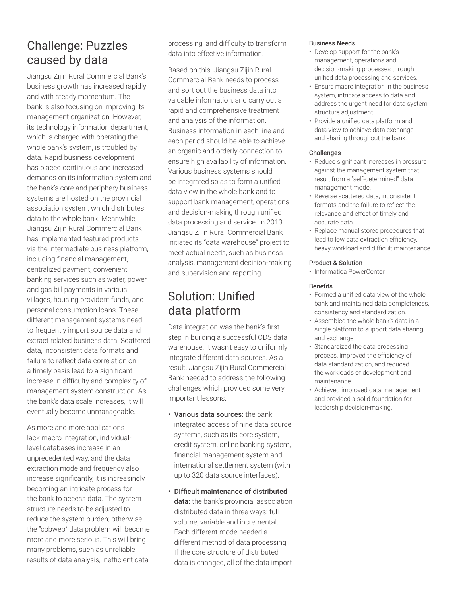### Challenge: Puzzles caused by data

Jiangsu Zijin Rural Commercial Bank's business growth has increased rapidly and with steady momentum. The bank is also focusing on improving its management organization. However, its technology information department, which is charged with operating the whole bank's system, is troubled by data. Rapid business development has placed continuous and increased demands on its information system and the bank's core and periphery business systems are hosted on the provincial association system, which distributes data to the whole bank. Meanwhile, Jiangsu Zijin Rural Commercial Bank has implemented featured products via the intermediate business platform, including financial management, centralized payment, convenient banking services such as water, power and gas bill payments in various villages, housing provident funds, and personal consumption loans. These different management systems need to frequently import source data and extract related business data. Scattered data, inconsistent data formats and failure to reflect data correlation on a timely basis lead to a significant increase in difficulty and complexity of management system construction. As the bank's data scale increases, it will eventually become unmanageable.

As more and more applications lack macro integration, individuallevel databases increase in an unprecedented way, and the data extraction mode and frequency also increase significantly, it is increasingly becoming an intricate process for the bank to access data. The system structure needs to be adjusted to reduce the system burden; otherwise the "cobweb" data problem will become more and more serious. This will bring many problems, such as unreliable results of data analysis, inefficient data

processing, and difficulty to transform data into effective information.

Based on this, Jiangsu Zijin Rural Commercial Bank needs to process and sort out the business data into valuable information, and carry out a rapid and comprehensive treatment and analysis of the information. Business information in each line and each period should be able to achieve an organic and orderly connection to ensure high availability of information. Various business systems should be integrated so as to form a unified data view in the whole bank and to support bank management, operations and decision-making through unified data processing and service. In 2013, Jiangsu Zijin Rural Commercial Bank initiated its "data warehouse" project to meet actual needs, such as business analysis, management decision-making and supervision and reporting.

### Solution: Unified data platform

Data integration was the bank's first step in building a successful ODS data warehouse. It wasn't easy to uniformly integrate different data sources. As a result, Jiangsu Zijin Rural Commercial Bank needed to address the following challenges which provided some very important lessons:

- Various data sources: the bank integrated access of nine data source systems, such as its core system, credit system, online banking system, financial management system and international settlement system (with up to 320 data source interfaces).
- Difficult maintenance of distributed data: the bank's provincial association distributed data in three ways: full volume, variable and incremental. Each different mode needed a different method of data processing. If the core structure of distributed data is changed, all of the data import

### Business Needs

- Develop support for the bank's management, operations and decision-making processes through unified data processing and services.
- Ensure macro integration in the business system, intricate access to data and address the urgent need for data system structure adjustment.
- Provide a unified data platform and data view to achieve data exchange and sharing throughout the bank.

### Challenges

- Reduce significant increases in pressure against the management system that result from a "self-determined" data management mode.
- Reverse scattered data, inconsistent formats and the failure to reflect the relevance and effect of timely and accurate data.
- Replace manual stored procedures that lead to low data extraction efficiency, heavy workload and difficult maintenance.

#### Product & Solution

• Informatica PowerCenter

#### Benefits

- Formed a unified data view of the whole bank and maintained data completeness, consistency and standardization.
- Assembled the whole bank's data in a single platform to support data sharing and exchange.
- Standardized the data processing process, improved the efficiency of data standardization, and reduced the workloads of development and maintenance.
- Achieved improved data management and provided a solid foundation for leadership decision-making.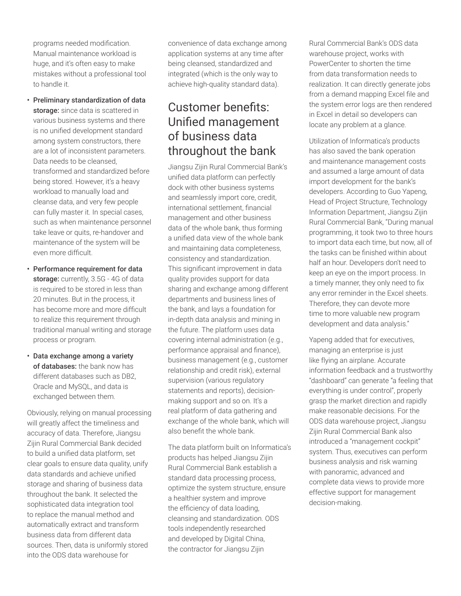programs needed modification. Manual maintenance workload is huge, and it's often easy to make mistakes without a professional tool to handle it.

- Preliminary standardization of data storage: since data is scattered in various business systems and there is no unified development standard among system constructors, there are a lot of inconsistent parameters. Data needs to be cleansed, transformed and standardized before being stored. However, it's a heavy workload to manually load and cleanse data, and very few people can fully master it. In special cases, such as when maintenance personnel take leave or quits, re-handover and maintenance of the system will be even more difficult.
- Performance requirement for data storage: currently, 3.5G - 4G of data is required to be stored in less than 20 minutes. But in the process, it has become more and more difficult to realize this requirement through traditional manual writing and storage process or program.
- Data exchange among a variety of databases: the bank now has different databases such as DB2, Oracle and MySQL, and data is exchanged between them.

Obviously, relying on manual processing will greatly affect the timeliness and accuracy of data. Therefore, Jiangsu Zijin Rural Commercial Bank decided to build a unified data platform, set clear goals to ensure data quality, unify data standards and achieve unified storage and sharing of business data throughout the bank. It selected the sophisticated data integration tool to replace the manual method and automatically extract and transform business data from different data sources. Then, data is uniformly stored into the ODS data warehouse for

convenience of data exchange among application systems at any time after being cleansed, standardized and integrated (which is the only way to achieve high-quality standard data).

### Customer benefits: Unified management of business data throughout the bank

Jiangsu Zijin Rural Commercial Bank's unified data platform can perfectly dock with other business systems and seamlessly import core, credit, international settlement, financial management and other business data of the whole bank, thus forming a unified data view of the whole bank and maintaining data completeness, consistency and standardization. This significant improvement in data quality provides support for data sharing and exchange among different departments and business lines of the bank, and lays a foundation for in-depth data analysis and mining in the future. The platform uses data covering internal administration (e.g., performance appraisal and finance), business management (e.g., customer relationship and credit risk), external supervision (various regulatory statements and reports), decisionmaking support and so on. It's a real platform of data gathering and exchange of the whole bank, which will also benefit the whole bank.

The data platform built on Informatica's products has helped Jiangsu Zijin Rural Commercial Bank establish a standard data processing process, optimize the system structure, ensure a healthier system and improve the efficiency of data loading, cleansing and standardization. ODS tools independently researched and developed by Digital China, the contractor for Jiangsu Zijin

Rural Commercial Bank's ODS data warehouse project, works with PowerCenter to shorten the time from data transformation needs to realization. It can directly generate jobs from a demand mapping Excel file and the system error logs are then rendered in Excel in detail so developers can locate any problem at a glance.

Utilization of Informatica's products has also saved the bank operation and maintenance management costs and assumed a large amount of data import development for the bank's developers. According to Guo Yapeng, Head of Project Structure, Technology Information Department, Jiangsu Zijin Rural Commercial Bank, "During manual programming, it took two to three hours to import data each time, but now, all of the tasks can be finished within about half an hour. Developers don't need to keep an eye on the import process. In a timely manner, they only need to fix any error reminder in the Excel sheets. Therefore, they can devote more time to more valuable new program development and data analysis."

Yapeng added that for executives, managing an enterprise is just like flying an airplane. Accurate information feedback and a trustworthy "dashboard" can generate "a feeling that everything is under control", properly grasp the market direction and rapidly make reasonable decisions. For the ODS data warehouse project, Jiangsu Zijin Rural Commercial Bank also introduced a "management cockpit" system. Thus, executives can perform business analysis and risk warning with panoramic, advanced and complete data views to provide more effective support for management decision-making.